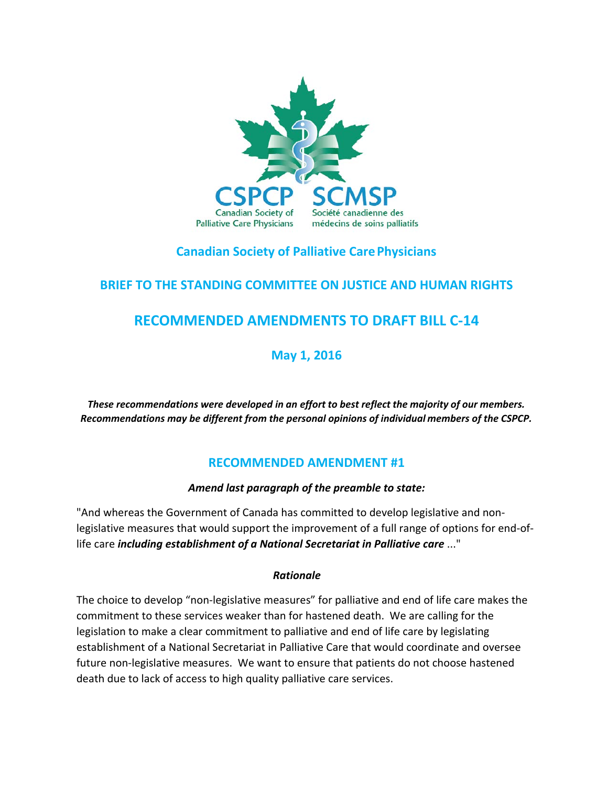

## **Canadian Society of Palliative CarePhysicians**

# **BRIEF TO THE STANDING COMMITTEE ON JUSTICE AND HUMAN RIGHTS**

# **RECOMMENDED AMENDMENTS TO DRAFT BILL C-14**

**May 1, 2016**

*These recommendations were developed in an effort to best reflect the majority of our members. Recommendations may be different from the personal opinions of individual members of the CSPCP.*

## **RECOMMENDED AMENDMENT #1**

*Amend last paragraph of the preamble to state:*

"And whereas the Government of Canada has committed to develop legislative and nonlegislative measures that would support the improvement of a full range of options for end-oflife care *including establishment of a National Secretariat in Palliative care* ..."

#### *Rationale*

The choice to develop "non-legislative measures" for palliative and end of life care makes the commitment to these services weaker than for hastened death. We are calling for the legislation to make a clear commitment to palliative and end of life care by legislating establishment of a National Secretariat in Palliative Care that would coordinate and oversee future non-legislative measures. We want to ensure that patients do not choose hastened death due to lack of access to high quality palliative care services.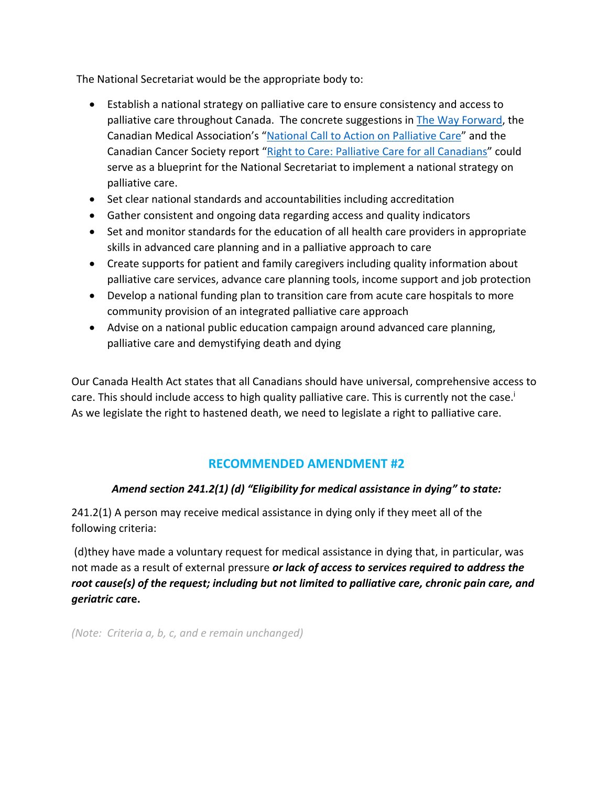The National Secretariat would be the appropriate body to:

- Establish a national strategy on palliative care to ensure consistency and access to palliative care throughout Canada. The concrete suggestions in [The Way Forward,](http://www.hpcintegration.ca/media/60044/TWF-framework-doc-Eng-2015-final-April1.pdf) the Canadian Medical Association's ["National Call to Action on Palliative Care"](http://www.casn.ca/wp-content/uploads/2015/05/Palliative-Care-Report-ENG-ONLINE.pdf) and the Canadian Cancer Society report ["Right to Care: Palliative Care for all Canadians"](https://www.cancer.ca/%7E/media/cancer.ca/CW/get%20involved/take%20action/Palliative-care-report-2016-EN.pdf?la=en) could serve as a blueprint for the National Secretariat to implement a national strategy on palliative care.
- Set clear national standards and accountabilities including accreditation
- Gather consistent and ongoing data regarding access and quality indicators
- Set and monitor standards for the education of all health care providers in appropriate skills in advanced care planning and in a palliative approach to care
- Create supports for patient and family caregivers including quality information about palliative care services, advance care planning tools, income support and job protection
- Develop a national funding plan to transition care from acute care hospitals to more community provision of an integrated palliative care approach
- Advise on a national public education campaign around advanced care planning, palliative care and demystifying death and dying

Our Canada Health Act states that all Canadians should have universal, comprehensive access to care. This should include access to high quality palliative care. This is currently not the case.<sup>i</sup> As we legislate the right to hastened death, we need to legislate a right to palliative care.

## **RECOMMENDED AMENDMENT #2**

#### *Amend section 241.2(1) (d) "Eligibility for medical assistance in dying" to state:*

241.2(1) A person may receive medical assistance in dying only if they meet all of the following criteria:

(d)they have made a voluntary request for medical assistance in dying that, in particular, was not made as a result of external pressure *or lack of access to services required to address the root cause(s) of the request; including but not limited to palliative care, chronic pain care, and geriatric ca***re.** 

*(Note: Criteria a, b, c, and e remain unchanged)*